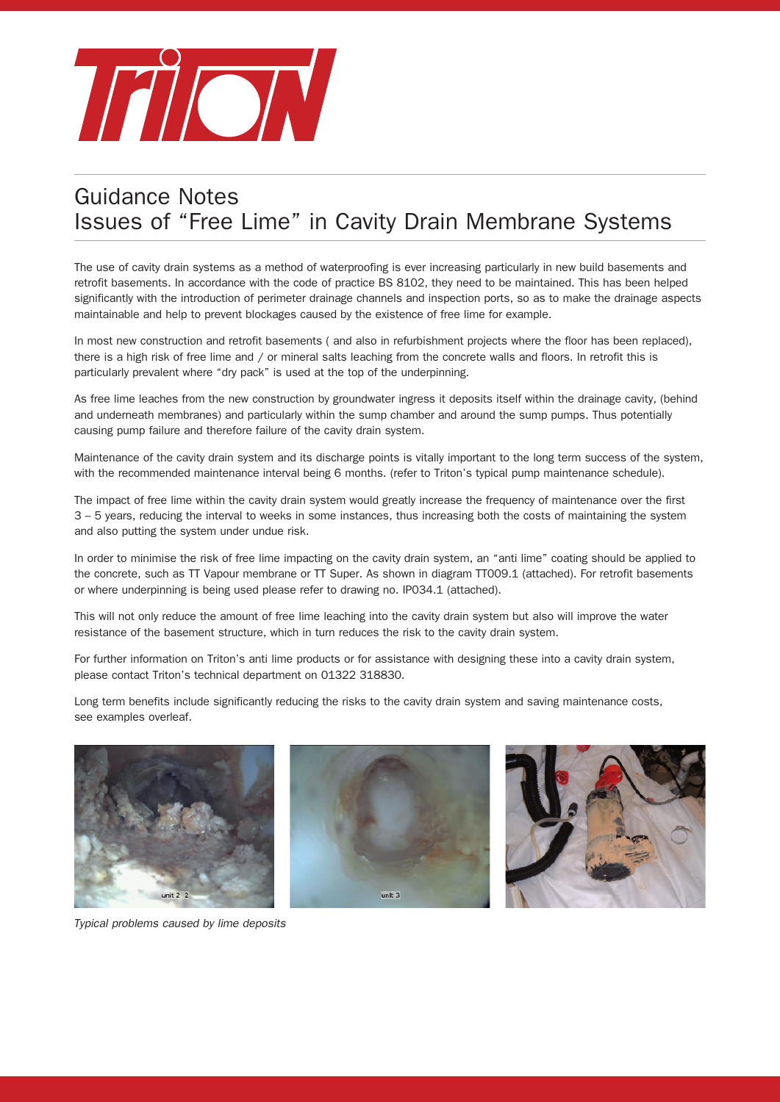

## Guidance Notes Issues of "Free Lime" in Cavity Drain Membrane Systems

The use of cavity drain systems as a method of waterproofing is ever increasing particularly in new build basements and retrofit basements. In accordance with the code of practice BS 8102, they need to be maintained. This has been helped significantly with the introduction of perimeter drainage channels and inspection ports, so as to make the drainage aspects maintainable and help to prevent blockages caused by the existence of free lime for example.

In most new construction and retrofit basements ( and also in refurbishment projects where the floor has been replaced), there is a high risk of free lime and / or mineral salts leaching from the concrete walls and floors. In retrofit this is particularly prevalent where "dry pack" is used at the top of the underpinning.

As free lime leaches from the new construction by groundwater ingress it deposits itself within the drainage cavity, (behind and underneath membranes) and particularly within the sump chamber and around the sump pumps. Thus potentially causing pump failure and therefore failure of the cavity drain system.

Maintenance of the cavity drain system and its discharge points is vitally important to the long term success of the system, with the recommended maintenance interval being 6 months. (refer to Triton's typical pump maintenance schedule).

The impact of free lime within the cavity drain system would greatly increase the frequency of maintenance over the first 3 – 5 years, reducing the interval to weeks in some instances, thus increasing both the costs of maintaining the system and also putting the system under undue risk.

In order to minimise the risk of free lime impacting on the cavity drain system, an "anti lime" coating should be applied to the concrete, such as TT Vapour membrane or TT Super. As shown in diagram TT009.1 (attached). For retrofit basements or where underpinning is being used please refer to drawing no. IP034.1 (attached).

This will not only reduce the amount of free lime leaching into the cavity drain system but also will improve the water resistance of the basement structure, which in turn reduces the risk to the cavity drain system.

For further information on Triton's anti lime products or for assistance with designing these into a cavity drain system, please contact Triton's technical department on 01322 318830.

Long term benefits include significantly reducing the risks to the cavity drain system and saving maintenance costs, see examples overleaf.



*Typical problems caused by lime deposits*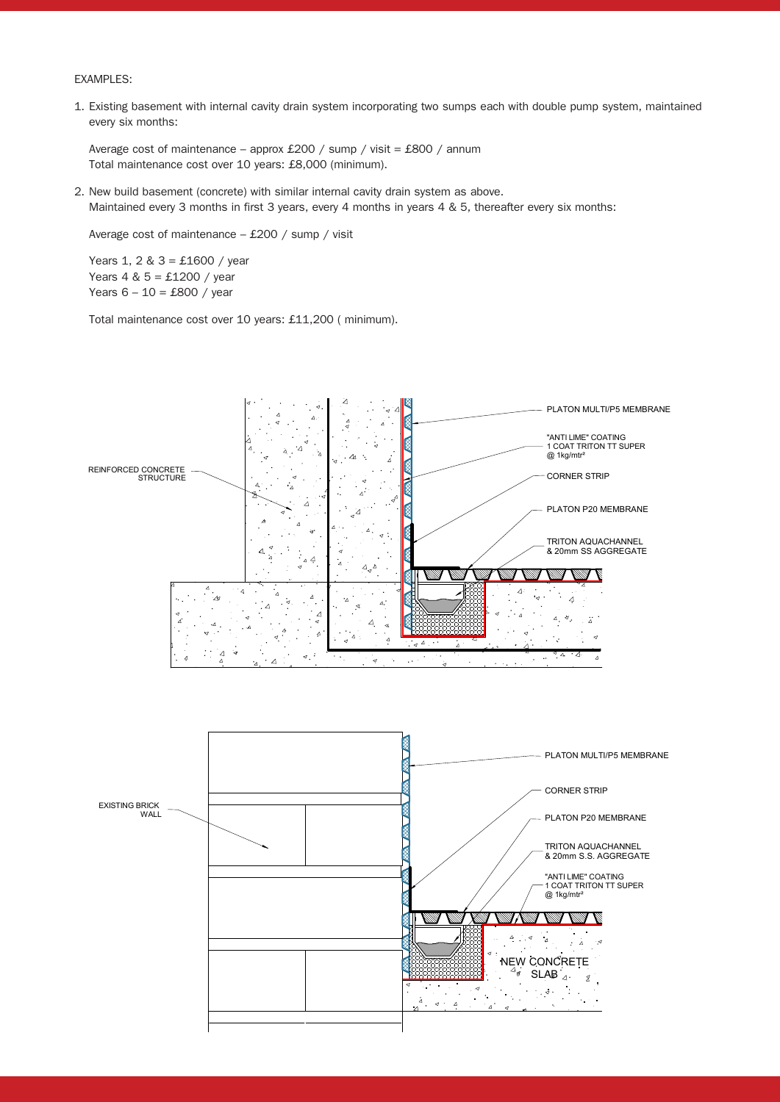## EXAMPLES:

1. Existing basement with internal cavity drain system incorporating two sumps each with double pump system, maintained every six months:

 Average cost of maintenance – approx £200 / sump / visit = £800 / annum Total maintenance cost over 10 years: £8,000 (minimum).

2. New build basement (concrete) with similar internal cavity drain system as above. Maintained every 3 months in first 3 years, every 4 months in years 4 & 5, thereafter every six months:

Average cost of maintenance – £200 / sump / visit

 Years 1, 2 & 3 = £1600 / year Years 4 & 5 = £1200 / year Years  $6 - 10 = £800 / year$ 

Total maintenance cost over 10 years: £11,200 ( minimum).